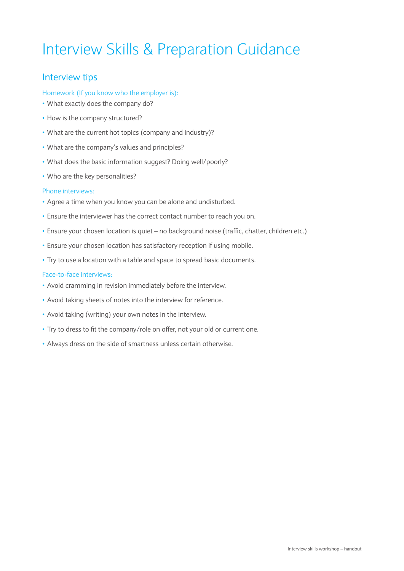# Interview Skills & Preparation Guidance

# Interview tips

## Homework (If you know who the employer is):

- What exactly does the company do?
- How is the company structured?
- What are the current hot topics (company and industry)?
- What are the company's values and principles?
- What does the basic information suggest? Doing well/poorly?
- Who are the key personalities?

### Phone interviews:

- Agree a time when you know you can be alone and undisturbed.
- Ensure the interviewer has the correct contact number to reach you on.
- Ensure your chosen location is quiet no background noise (traffic, chatter, children etc.)
- Ensure your chosen location has satisfactory reception if using mobile.
- Try to use a location with a table and space to spread basic documents.

### Face-to-face interviews:

- Avoid cramming in revision immediately before the interview.
- Avoid taking sheets of notes into the interview for reference.
- Avoid taking (writing) your own notes in the interview.
- Try to dress to fit the company/role on offer, not your old or current one.
- Always dress on the side of smartness unless certain otherwise.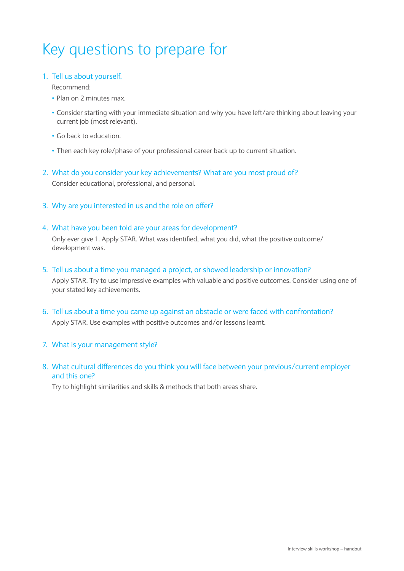# Key questions to prepare for

## 1. Tell us about yourself.

## Recommend:

- Plan on 2 minutes max.
- Consider starting with your immediate situation and why you have left/are thinking about leaving your current job (most relevant).
- Go back to education.
- Then each key role/phase of your professional career back up to current situation.
- 2. What do you consider your key achievements? What are you most proud of? Consider educational, professional, and personal.
- 3. Why are you interested in us and the role on offer?

## 4. What have you been told are your areas for development?

Only ever give 1. Apply STAR. What was identified, what you did, what the positive outcome/ development was.

5. Tell us about a time you managed a project, or showed leadership or innovation?

Apply STAR. Try to use impressive examples with valuable and positive outcomes. Consider using one of your stated key achievements.

- 6. Tell us about a time you came up against an obstacle or were faced with confrontation? Apply STAR. Use examples with positive outcomes and/or lessons learnt.
- 7. What is your management style?
- 8. What cultural differences do you think you will face between your previous/current employer and this one?

Try to highlight similarities and skills & methods that both areas share.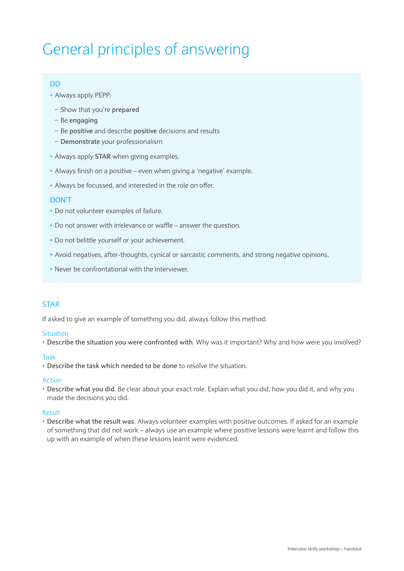# General principles of answering

## Do

- Always apply PEPP:
	- − Show that you're **prepared**
	- − Be **engaging**
	- − Be **positive** and describe **positive** decisions and results
	- − **Demonstrate** your professionalism
- Always apply **STAR** when giving examples.
- Always finish on a positive even when giving a 'negative' example.
- Always be focussed, and interested in the role on offer.

## Don't

- Do not volunteer examples of failure.
- Do not answer with irrelevance or waffle answer the question.
- Do not belittle yourself or your achievement.
- Avoid negatives, after-thoughts, cynical or sarcastic comments, and strong negative opinions.
- Never be confrontational with the interviewer.

## **STAR**

If asked to give an example of something you did, always follow this method:

### **Situation**

• **Describe the situation you were confronted with**. Why was it important? Why and how were you involved?

### Task

• **Describe the task which needed to be done** to resolve the situation.

### Action

• **Describe what you did**. Be clear about your exact role. Explain what you did, how you did it, and why you made the decisions you did.

## Result

• **Describe what the result was**. Always volunteer examples with positive outcomes. If asked for an example of something that did not work – always use an example where positive lessons were learnt and follow this up with an example of when these lessons learnt were evidenced.